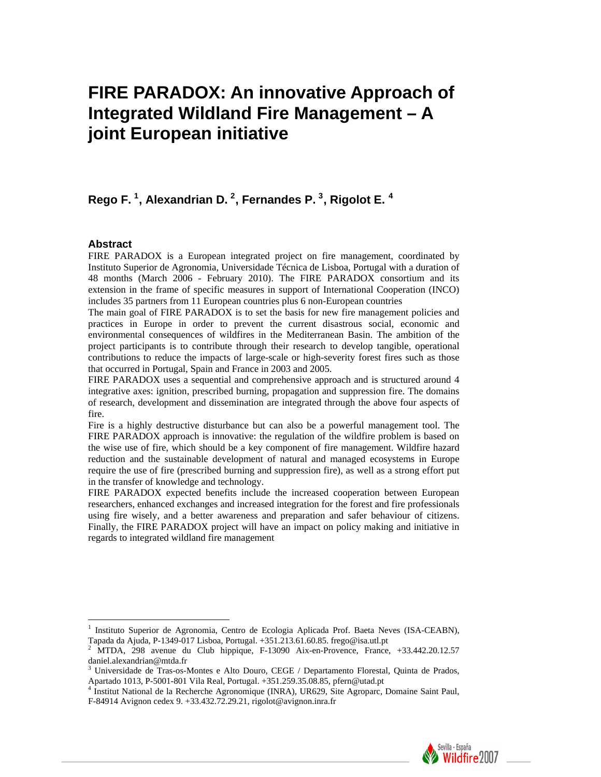# **FIRE PARADOX: An innovative Approach of Integrated Wildland Fire Management – A joint European initiative**

# **Rego F. [1](#page-0-0) , Alexandrian D. [2](#page-0-1) , Fernandes P. [3](#page-0-2) , Rigolot E. [4](#page-0-3)**

#### **Abstract**

 $\overline{a}$ 

FIRE PARADOX is a European integrated project on fire management, coordinated by Instituto Superior de Agronomia, Universidade Técnica de Lisboa, Portugal with a duration of 48 months (March 2006 - February 2010). The FIRE PARADOX consortium and its extension in the frame of specific measures in support of International Cooperation (INCO) includes 35 partners from 11 European countries plus 6 non-European countries

The main goal of FIRE PARADOX is to set the basis for new fire management policies and practices in Europe in order to prevent the current disastrous social, economic and environmental consequences of wildfires in the Mediterranean Basin. The ambition of the project participants is to contribute through their research to develop tangible, operational contributions to reduce the impacts of large-scale or high-severity forest fires such as those that occurred in Portugal, Spain and France in 2003 and 2005.

FIRE PARADOX uses a sequential and comprehensive approach and is structured around 4 integrative axes: ignition, prescribed burning, propagation and suppression fire. The domains of research, development and dissemination are integrated through the above four aspects of fire.

Fire is a highly destructive disturbance but can also be a powerful management tool. The FIRE PARADOX approach is innovative: the regulation of the wildfire problem is based on the wise use of fire, which should be a key component of fire management. Wildfire hazard reduction and the sustainable development of natural and managed ecosystems in Europe require the use of fire (prescribed burning and suppression fire), as well as a strong effort put in the transfer of knowledge and technology.

FIRE PARADOX expected benefits include the increased cooperation between European researchers, enhanced exchanges and increased integration for the forest and fire professionals using fire wisely, and a better awareness and preparation and safer behaviour of citizens. Finally, the FIRE PARADOX project will have an impact on policy making and initiative in regards to integrated wildland fire management

<span id="page-0-3"></span>F-84914 Avignon cedex 9. +33.432.72.29.21, rigolot@avignon.inra.fr



<sup>1</sup> Instituto Superior de Agronomia, Centro de Ecologia Aplicada Prof. Baeta Neves (ISA-CEABN),

<span id="page-0-1"></span><span id="page-0-0"></span>Tapada da Ajuda, P-1349-017 Lisboa, Portugal. +351.213.61.60.85. frego@isa.utl.pt<br><sup>2</sup> MTDA, 298 avenue du Club hippique, F-13090 Aix-en-Provence, France, +33.442.20.12.57 daniel.alexandrian@mtda.fr

<span id="page-0-2"></span><sup>3</sup> Universidade de Tras-os-Montes e Alto Douro, CEGE / Departamento Florestal, Quinta de Prados, Apartado 1013, P-5001-801 Vila Real, Portugal. +351.259.35.08.85, pfern@utad.pt<br><sup>4</sup> Institut National de la Recherche Agronomique (INRA), UR629, Site Agroparc, Domaine Saint Paul,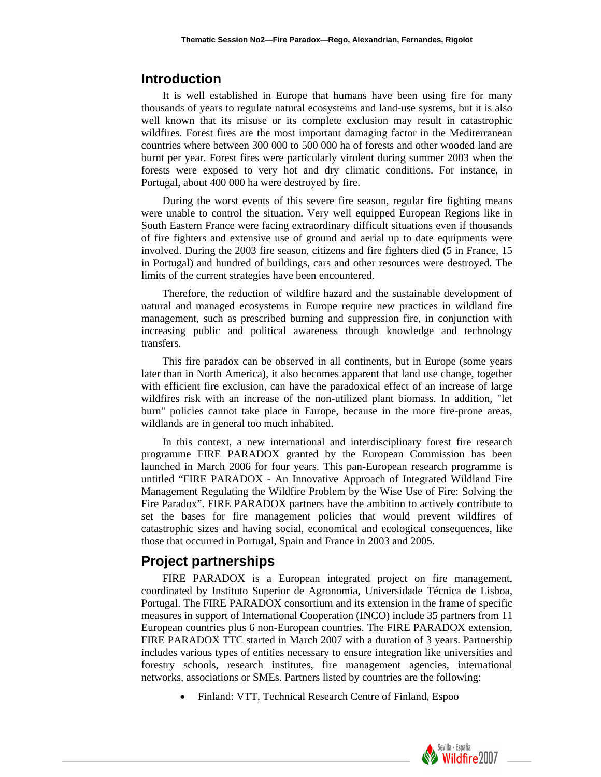# **Introduction**

It is well established in Europe that humans have been using fire for many thousands of years to regulate natural ecosystems and land-use systems, but it is also well known that its misuse or its complete exclusion may result in catastrophic wildfires. Forest fires are the most important damaging factor in the Mediterranean countries where between 300 000 to 500 000 ha of forests and other wooded land are burnt per year. Forest fires were particularly virulent during summer 2003 when the forests were exposed to very hot and dry climatic conditions. For instance, in Portugal, about 400 000 ha were destroyed by fire.

During the worst events of this severe fire season, regular fire fighting means were unable to control the situation. Very well equipped European Regions like in South Eastern France were facing extraordinary difficult situations even if thousands of fire fighters and extensive use of ground and aerial up to date equipments were involved. During the 2003 fire season, citizens and fire fighters died (5 in France, 15 in Portugal) and hundred of buildings, cars and other resources were destroyed. The limits of the current strategies have been encountered.

Therefore, the reduction of wildfire hazard and the sustainable development of natural and managed ecosystems in Europe require new practices in wildland fire management, such as prescribed burning and suppression fire, in conjunction with increasing public and political awareness through knowledge and technology transfers.

This fire paradox can be observed in all continents, but in Europe (some years later than in North America), it also becomes apparent that land use change, together with efficient fire exclusion, can have the paradoxical effect of an increase of large wildfires risk with an increase of the non-utilized plant biomass. In addition, "let burn" policies cannot take place in Europe, because in the more fire-prone areas, wildlands are in general too much inhabited.

In this context, a new international and interdisciplinary forest fire research programme FIRE PARADOX granted by the European Commission has been launched in March 2006 for four years. This pan-European research programme is untitled "FIRE PARADOX - An Innovative Approach of Integrated Wildland Fire Management Regulating the Wildfire Problem by the Wise Use of Fire: Solving the Fire Paradox". FIRE PARADOX partners have the ambition to actively contribute to set the bases for fire management policies that would prevent wildfires of catastrophic sizes and having social, economical and ecological consequences, like those that occurred in Portugal, Spain and France in 2003 and 2005.

# **Project partnerships**

FIRE PARADOX is a European integrated project on fire management, coordinated by Instituto Superior de Agronomia, Universidade Técnica de Lisboa, Portugal. The FIRE PARADOX consortium and its extension in the frame of specific measures in support of International Cooperation (INCO) include 35 partners from 11 European countries plus 6 non-European countries. The FIRE PARADOX extension, FIRE PARADOX TTC started in March 2007 with a duration of 3 years. Partnership includes various types of entities necessary to ensure integration like universities and forestry schools, research institutes, fire management agencies, international networks, associations or SMEs. Partners listed by countries are the following:

• Finland: VTT, Technical Research Centre of Finland, Espoo

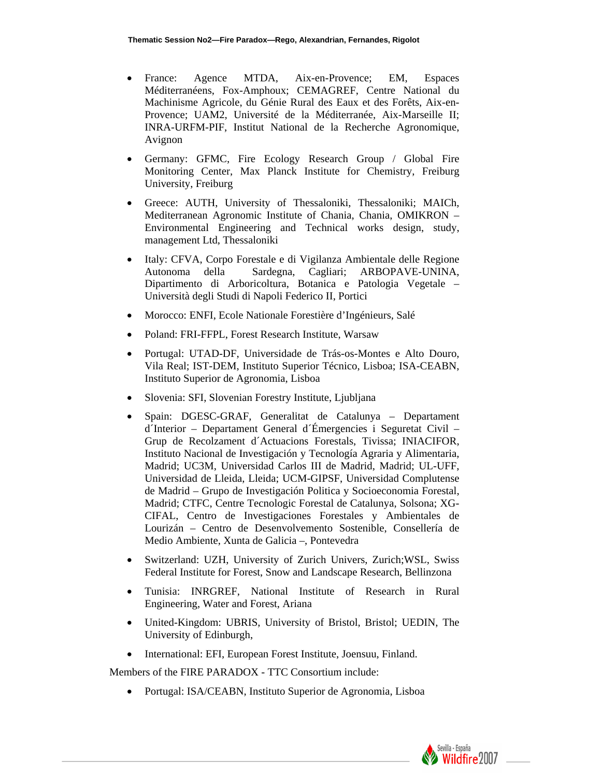- France: Agence MTDA, Aix-en-Provence; EM, Espaces Méditerranéens, Fox-Amphoux; CEMAGREF, Centre National du Machinisme Agricole, du Génie Rural des Eaux et des Forêts, Aix-en-Provence; UAM2, Université de la Méditerranée, Aix-Marseille II; INRA-URFM-PIF, Institut National de la Recherche Agronomique, Avignon
- Germany: GFMC, Fire Ecology Research Group / Global Fire Monitoring Center, Max Planck Institute for Chemistry, Freiburg University, Freiburg
- Greece: AUTH, University of Thessaloniki, Thessaloniki; MAICh, Mediterranean Agronomic Institute of Chania, Chania, OMIKRON – Environmental Engineering and Technical works design, study, management Ltd, Thessaloniki
- Italy: CFVA, Corpo Forestale e di Vigilanza Ambientale delle Regione Autonoma della Sardegna, Cagliari; ARBOPAVE-UNINA, Dipartimento di Arboricoltura, Botanica e Patologia Vegetale – Università degli Studi di Napoli Federico II, Portici
- Morocco: ENFI, Ecole Nationale Forestière d'Ingénieurs, Salé
- Poland: FRI-FFPL, Forest Research Institute, Warsaw
- Portugal: UTAD-DF, Universidade de Trás-os-Montes e Alto Douro, Vila Real; IST-DEM, Instituto Superior Técnico, Lisboa; ISA-CEABN, Instituto Superior de Agronomia, Lisboa
- Slovenia: SFI, Slovenian Forestry Institute, Ljubljana
- Spain: DGESC-GRAF, Generalitat de Catalunya Departament d´Interior – Departament General d´Émergencies i Seguretat Civil – Grup de Recolzament d´Actuacions Forestals, Tivissa; INIACIFOR, Instituto Nacional de Investigación y Tecnología Agraria y Alimentaria, Madrid; UC3M, Universidad Carlos III de Madrid, Madrid; UL-UFF, Universidad de Lleida, Lleida; UCM-GIPSF, Universidad Complutense de Madrid – Grupo de Investigación Politica y Socioeconomia Forestal, Madrid; CTFC, Centre Tecnologic Forestal de Catalunya, Solsona; XG-CIFAL, Centro de Investigaciones Forestales y Ambientales de Lourizán – Centro de Desenvolvemento Sostenible, Consellería de Medio Ambiente, Xunta de Galicia –, Pontevedra
- Switzerland: UZH, University of Zurich Univers, Zurich;WSL, Swiss Federal Institute for Forest, Snow and Landscape Research, Bellinzona
- Tunisia: INRGREF, National Institute of Research in Rural Engineering, Water and Forest, Ariana
- United-Kingdom: UBRIS, University of Bristol, Bristol; UEDIN, The University of Edinburgh,
- International: EFI, European Forest Institute, Joensuu, Finland.

Members of the FIRE PARADOX - TTC Consortium include:

• Portugal: ISA/CEABN, Instituto Superior de Agronomia, Lisboa

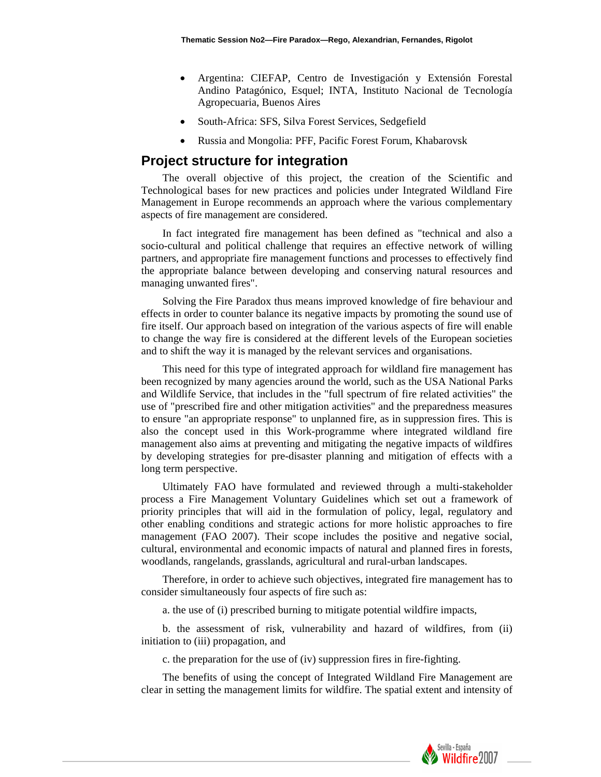- Argentina: CIEFAP, Centro de Investigación y Extensión Forestal Andino Patagónico, Esquel; INTA, Instituto Nacional de Tecnología Agropecuaria, Buenos Aires
- South-Africa: SFS, Silva Forest Services, Sedgefield
- Russia and Mongolia: PFF, Pacific Forest Forum, Khabarovsk

# **Project structure for integration**

The overall objective of this project, the creation of the Scientific and Technological bases for new practices and policies under Integrated Wildland Fire Management in Europe recommends an approach where the various complementary aspects of fire management are considered.

In fact integrated fire management has been defined as "technical and also a socio-cultural and political challenge that requires an effective network of willing partners, and appropriate fire management functions and processes to effectively find the appropriate balance between developing and conserving natural resources and managing unwanted fires".

Solving the Fire Paradox thus means improved knowledge of fire behaviour and effects in order to counter balance its negative impacts by promoting the sound use of fire itself. Our approach based on integration of the various aspects of fire will enable to change the way fire is considered at the different levels of the European societies and to shift the way it is managed by the relevant services and organisations.

This need for this type of integrated approach for wildland fire management has been recognized by many agencies around the world, such as the USA National Parks and Wildlife Service, that includes in the "full spectrum of fire related activities" the use of "prescribed fire and other mitigation activities" and the preparedness measures to ensure "an appropriate response" to unplanned fire, as in suppression fires. This is also the concept used in this Work-programme where integrated wildland fire management also aims at preventing and mitigating the negative impacts of wildfires by developing strategies for pre-disaster planning and mitigation of effects with a long term perspective.

Ultimately FAO have formulated and reviewed through a multi-stakeholder process a Fire Management Voluntary Guidelines which set out a framework of priority principles that will aid in the formulation of policy, legal, regulatory and other enabling conditions and strategic actions for more holistic approaches to fire management (FAO 2007). Their scope includes the positive and negative social, cultural, environmental and economic impacts of natural and planned fires in forests, woodlands, rangelands, grasslands, agricultural and rural-urban landscapes.

Therefore, in order to achieve such objectives, integrated fire management has to consider simultaneously four aspects of fire such as:

a. the use of (i) prescribed burning to mitigate potential wildfire impacts,

b. the assessment of risk, vulnerability and hazard of wildfires, from (ii) initiation to (iii) propagation, and

c. the preparation for the use of (iv) suppression fires in fire-fighting.

The benefits of using the concept of Integrated Wildland Fire Management are clear in setting the management limits for wildfire. The spatial extent and intensity of

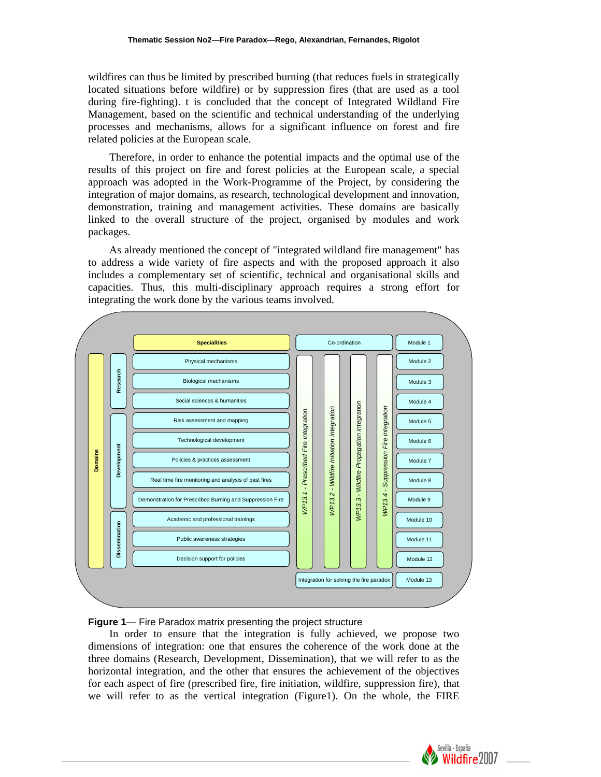wildfires can thus be limited by prescribed burning (that reduces fuels in strategically located situations before wildfire) or by suppression fires (that are used as a tool during fire-fighting). t is concluded that the concept of Integrated Wildland Fire Management, based on the scientific and technical understanding of the underlying processes and mechanisms, allows for a significant influence on forest and fire related policies at the European scale.

Therefore, in order to enhance the potential impacts and the optimal use of the results of this project on fire and forest policies at the European scale, a special approach was adopted in the Work-Programme of the Project, by considering the integration of major domains, as research, technological development and innovation, demonstration, training and management activities. These domains are basically linked to the overall structure of the project, organised by modules and work packages.

As already mentioned the concept of "integrated wildland fire management" has to address a wide variety of fire aspects and with the proposed approach it also includes a complementary set of scientific, technical and organisational skills and capacities. Thus, this multi-disciplinary approach requires a strong effort for integrating the work done by the various teams involved.



#### **Figure 1**— Fire Paradox matrix presenting the project structure

In order to ensure that the integration is fully achieved, we propose two dimensions of integration: one that ensures the coherence of the work done at the three domains (Research, Development, Dissemination), that we will refer to as the horizontal integration, and the other that ensures the achievement of the objectives for each aspect of fire (prescribed fire, fire initiation, wildfire, suppression fire), that we will refer to as the vertical integration (Figure1). On the whole, the FIRE

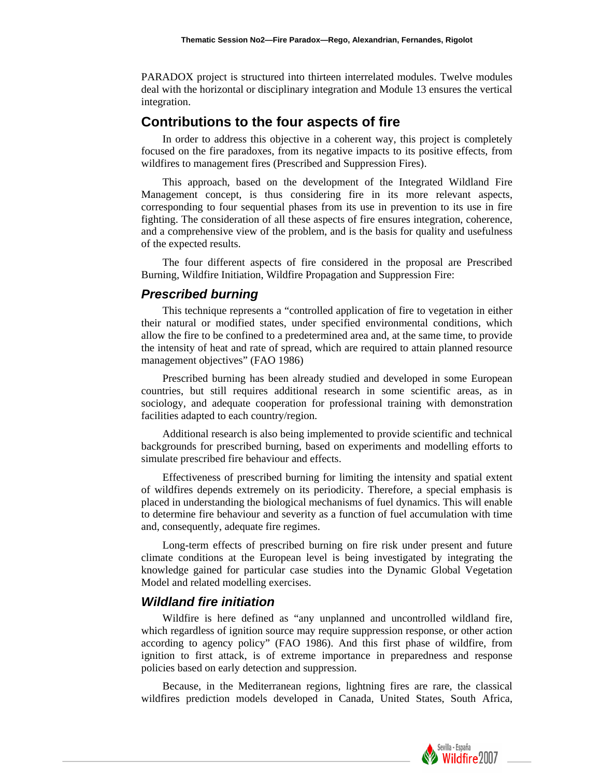PARADOX project is structured into thirteen interrelated modules. Twelve modules deal with the horizontal or disciplinary integration and Module 13 ensures the vertical integration.

# **Contributions to the four aspects of fire**

In order to address this objective in a coherent way, this project is completely focused on the fire paradoxes, from its negative impacts to its positive effects, from wildfires to management fires (Prescribed and Suppression Fires).

This approach, based on the development of the Integrated Wildland Fire Management concept, is thus considering fire in its more relevant aspects, corresponding to four sequential phases from its use in prevention to its use in fire fighting. The consideration of all these aspects of fire ensures integration, coherence, and a comprehensive view of the problem, and is the basis for quality and usefulness of the expected results.

The four different aspects of fire considered in the proposal are Prescribed Burning, Wildfire Initiation, Wildfire Propagation and Suppression Fire:

#### *Prescribed burning*

This technique represents a "controlled application of fire to vegetation in either their natural or modified states, under specified environmental conditions, which allow the fire to be confined to a predetermined area and, at the same time, to provide the intensity of heat and rate of spread, which are required to attain planned resource management objectives" (FAO 1986)

Prescribed burning has been already studied and developed in some European countries, but still requires additional research in some scientific areas, as in sociology, and adequate cooperation for professional training with demonstration facilities adapted to each country/region.

Additional research is also being implemented to provide scientific and technical backgrounds for prescribed burning, based on experiments and modelling efforts to simulate prescribed fire behaviour and effects.

Effectiveness of prescribed burning for limiting the intensity and spatial extent of wildfires depends extremely on its periodicity. Therefore, a special emphasis is placed in understanding the biological mechanisms of fuel dynamics. This will enable to determine fire behaviour and severity as a function of fuel accumulation with time and, consequently, adequate fire regimes.

Long-term effects of prescribed burning on fire risk under present and future climate conditions at the European level is being investigated by integrating the knowledge gained for particular case studies into the Dynamic Global Vegetation Model and related modelling exercises.

### *Wildland fire initiation*

Wildfire is here defined as "any unplanned and uncontrolled wildland fire, which regardless of ignition source may require suppression response, or other action according to agency policy" (FAO 1986). And this first phase of wildfire, from ignition to first attack, is of extreme importance in preparedness and response policies based on early detection and suppression.

Because, in the Mediterranean regions, lightning fires are rare, the classical wildfires prediction models developed in Canada, United States, South Africa,

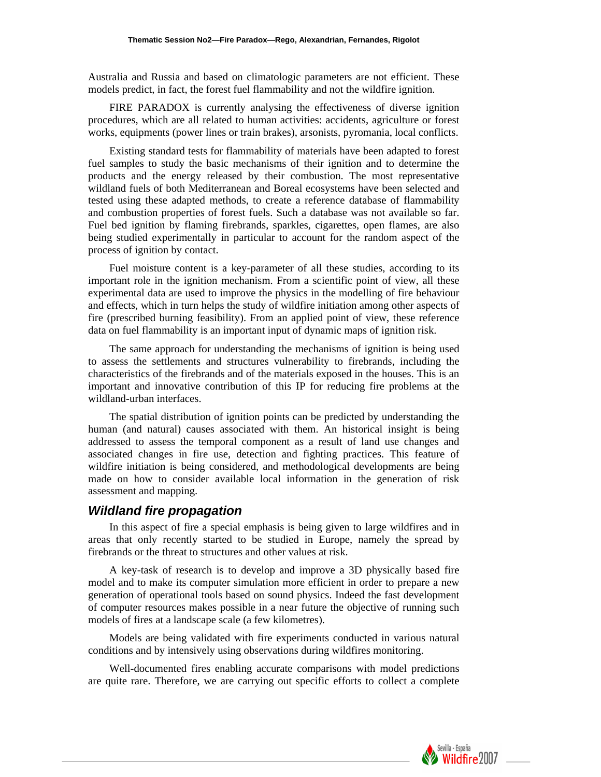Australia and Russia and based on climatologic parameters are not efficient. These models predict, in fact, the forest fuel flammability and not the wildfire ignition.

FIRE PARADOX is currently analysing the effectiveness of diverse ignition procedures, which are all related to human activities: accidents, agriculture or forest works, equipments (power lines or train brakes), arsonists, pyromania, local conflicts.

Existing standard tests for flammability of materials have been adapted to forest fuel samples to study the basic mechanisms of their ignition and to determine the products and the energy released by their combustion. The most representative wildland fuels of both Mediterranean and Boreal ecosystems have been selected and tested using these adapted methods, to create a reference database of flammability and combustion properties of forest fuels. Such a database was not available so far. Fuel bed ignition by flaming firebrands, sparkles, cigarettes, open flames, are also being studied experimentally in particular to account for the random aspect of the process of ignition by contact.

Fuel moisture content is a key-parameter of all these studies, according to its important role in the ignition mechanism. From a scientific point of view, all these experimental data are used to improve the physics in the modelling of fire behaviour and effects, which in turn helps the study of wildfire initiation among other aspects of fire (prescribed burning feasibility). From an applied point of view, these reference data on fuel flammability is an important input of dynamic maps of ignition risk.

The same approach for understanding the mechanisms of ignition is being used to assess the settlements and structures vulnerability to firebrands, including the characteristics of the firebrands and of the materials exposed in the houses. This is an important and innovative contribution of this IP for reducing fire problems at the wildland-urban interfaces.

The spatial distribution of ignition points can be predicted by understanding the human (and natural) causes associated with them. An historical insight is being addressed to assess the temporal component as a result of land use changes and associated changes in fire use, detection and fighting practices. This feature of wildfire initiation is being considered, and methodological developments are being made on how to consider available local information in the generation of risk assessment and mapping.

#### *Wildland fire propagation*

In this aspect of fire a special emphasis is being given to large wildfires and in areas that only recently started to be studied in Europe, namely the spread by firebrands or the threat to structures and other values at risk.

A key-task of research is to develop and improve a 3D physically based fire model and to make its computer simulation more efficient in order to prepare a new generation of operational tools based on sound physics. Indeed the fast development of computer resources makes possible in a near future the objective of running such models of fires at a landscape scale (a few kilometres).

Models are being validated with fire experiments conducted in various natural conditions and by intensively using observations during wildfires monitoring.

Well-documented fires enabling accurate comparisons with model predictions are quite rare. Therefore, we are carrying out specific efforts to collect a complete

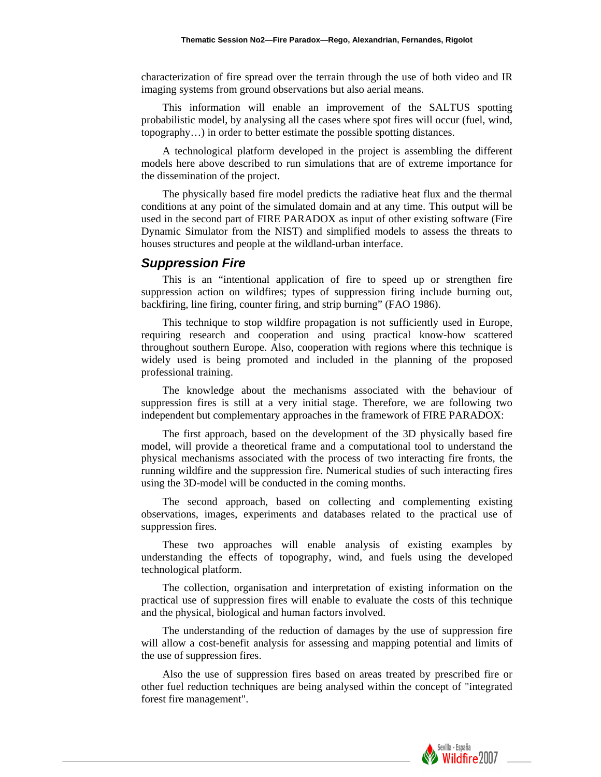characterization of fire spread over the terrain through the use of both video and IR imaging systems from ground observations but also aerial means.

This information will enable an improvement of the SALTUS spotting probabilistic model, by analysing all the cases where spot fires will occur (fuel, wind, topography…) in order to better estimate the possible spotting distances.

A technological platform developed in the project is assembling the different models here above described to run simulations that are of extreme importance for the dissemination of the project.

The physically based fire model predicts the radiative heat flux and the thermal conditions at any point of the simulated domain and at any time. This output will be used in the second part of FIRE PARADOX as input of other existing software (Fire Dynamic Simulator from the NIST) and simplified models to assess the threats to houses structures and people at the wildland-urban interface.

#### *Suppression Fire*

This is an "intentional application of fire to speed up or strengthen fire suppression action on wildfires; types of suppression firing include burning out, backfiring, line firing, counter firing, and strip burning" (FAO 1986).

This technique to stop wildfire propagation is not sufficiently used in Europe, requiring research and cooperation and using practical know-how scattered throughout southern Europe. Also, cooperation with regions where this technique is widely used is being promoted and included in the planning of the proposed professional training.

The knowledge about the mechanisms associated with the behaviour of suppression fires is still at a very initial stage. Therefore, we are following two independent but complementary approaches in the framework of FIRE PARADOX:

The first approach, based on the development of the 3D physically based fire model, will provide a theoretical frame and a computational tool to understand the physical mechanisms associated with the process of two interacting fire fronts, the running wildfire and the suppression fire. Numerical studies of such interacting fires using the 3D-model will be conducted in the coming months.

The second approach, based on collecting and complementing existing observations, images, experiments and databases related to the practical use of suppression fires.

These two approaches will enable analysis of existing examples by understanding the effects of topography, wind, and fuels using the developed technological platform.

The collection, organisation and interpretation of existing information on the practical use of suppression fires will enable to evaluate the costs of this technique and the physical, biological and human factors involved.

The understanding of the reduction of damages by the use of suppression fire will allow a cost-benefit analysis for assessing and mapping potential and limits of the use of suppression fires.

Also the use of suppression fires based on areas treated by prescribed fire or other fuel reduction techniques are being analysed within the concept of "integrated forest fire management".

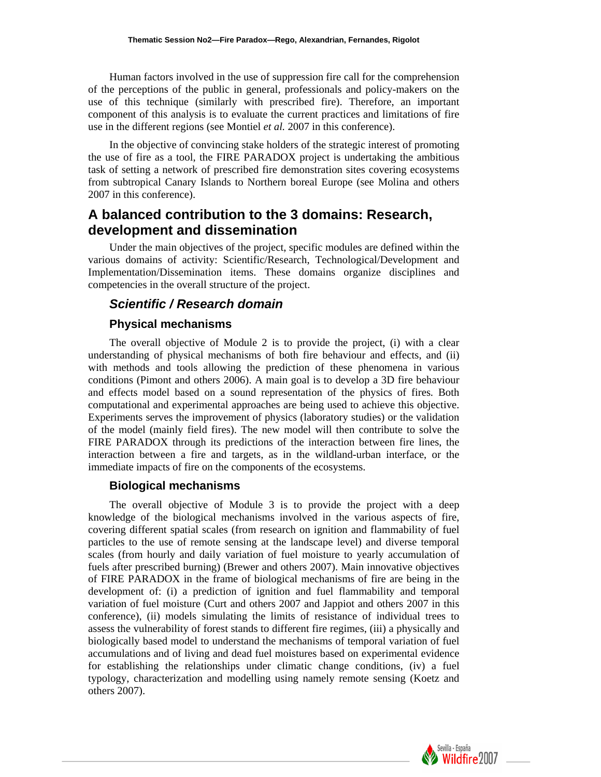Human factors involved in the use of suppression fire call for the comprehension of the perceptions of the public in general, professionals and policy-makers on the use of this technique (similarly with prescribed fire). Therefore, an important component of this analysis is to evaluate the current practices and limitations of fire use in the different regions (see Montiel *et al.* 2007 in this conference).

In the objective of convincing stake holders of the strategic interest of promoting the use of fire as a tool, the FIRE PARADOX project is undertaking the ambitious task of setting a network of prescribed fire demonstration sites covering ecosystems from subtropical Canary Islands to Northern boreal Europe (see Molina and others 2007 in this conference).

# **A balanced contribution to the 3 domains: Research, development and dissemination**

Under the main objectives of the project, specific modules are defined within the various domains of activity: Scientific/Research, Technological/Development and Implementation/Dissemination items. These domains organize disciplines and competencies in the overall structure of the project.

# *Scientific / Research domain*

#### **Physical mechanisms**

The overall objective of Module 2 is to provide the project, (i) with a clear understanding of physical mechanisms of both fire behaviour and effects, and (ii) with methods and tools allowing the prediction of these phenomena in various conditions (Pimont and others 2006). A main goal is to develop a 3D fire behaviour and effects model based on a sound representation of the physics of fires. Both computational and experimental approaches are being used to achieve this objective. Experiments serves the improvement of physics (laboratory studies) or the validation of the model (mainly field fires). The new model will then contribute to solve the FIRE PARADOX through its predictions of the interaction between fire lines, the interaction between a fire and targets, as in the wildland-urban interface, or the immediate impacts of fire on the components of the ecosystems.

### **Biological mechanisms**

The overall objective of Module 3 is to provide the project with a deep knowledge of the biological mechanisms involved in the various aspects of fire, covering different spatial scales (from research on ignition and flammability of fuel particles to the use of remote sensing at the landscape level) and diverse temporal scales (from hourly and daily variation of fuel moisture to yearly accumulation of fuels after prescribed burning) (Brewer and others 2007). Main innovative objectives of FIRE PARADOX in the frame of biological mechanisms of fire are being in the development of: (i) a prediction of ignition and fuel flammability and temporal variation of fuel moisture (Curt and others 2007 and Jappiot and others 2007 in this conference), (ii) models simulating the limits of resistance of individual trees to assess the vulnerability of forest stands to different fire regimes, (iii) a physically and biologically based model to understand the mechanisms of temporal variation of fuel accumulations and of living and dead fuel moistures based on experimental evidence for establishing the relationships under climatic change conditions, (iv) a fuel typology, characterization and modelling using namely remote sensing (Koetz and others 2007).

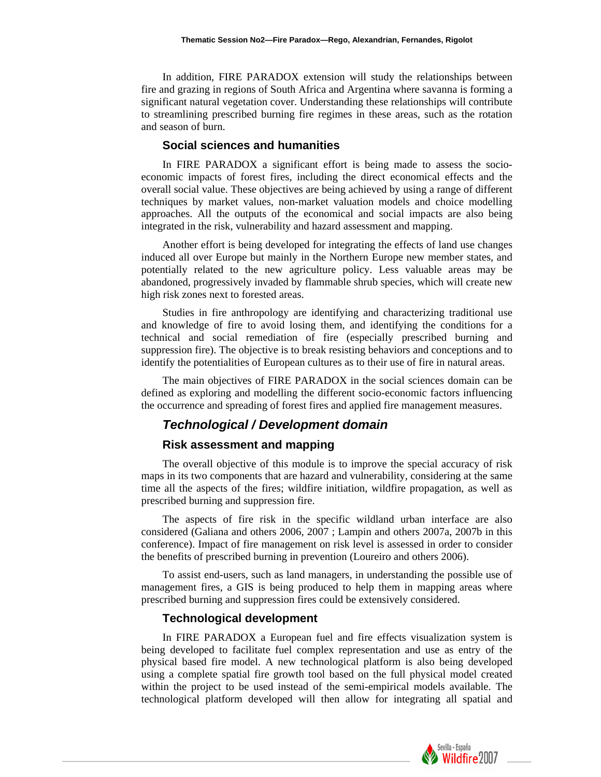In addition, FIRE PARADOX extension will study the relationships between fire and grazing in regions of South Africa and Argentina where savanna is forming a significant natural vegetation cover. Understanding these relationships will contribute to streamlining prescribed burning fire regimes in these areas, such as the rotation and season of burn.

#### **Social sciences and humanities**

In FIRE PARADOX a significant effort is being made to assess the socioeconomic impacts of forest fires, including the direct economical effects and the overall social value. These objectives are being achieved by using a range of different techniques by market values, non-market valuation models and choice modelling approaches. All the outputs of the economical and social impacts are also being integrated in the risk, vulnerability and hazard assessment and mapping.

Another effort is being developed for integrating the effects of land use changes induced all over Europe but mainly in the Northern Europe new member states, and potentially related to the new agriculture policy. Less valuable areas may be abandoned, progressively invaded by flammable shrub species, which will create new high risk zones next to forested areas.

Studies in fire anthropology are identifying and characterizing traditional use and knowledge of fire to avoid losing them, and identifying the conditions for a technical and social remediation of fire (especially prescribed burning and suppression fire). The objective is to break resisting behaviors and conceptions and to identify the potentialities of European cultures as to their use of fire in natural areas.

The main objectives of FIRE PARADOX in the social sciences domain can be defined as exploring and modelling the different socio-economic factors influencing the occurrence and spreading of forest fires and applied fire management measures.

#### *Technological / Development domain*

#### **Risk assessment and mapping**

The overall objective of this module is to improve the special accuracy of risk maps in its two components that are hazard and vulnerability, considering at the same time all the aspects of the fires; wildfire initiation, wildfire propagation, as well as prescribed burning and suppression fire.

The aspects of fire risk in the specific wildland urban interface are also considered (Galiana and others 2006, 2007 ; Lampin and others 2007a, 2007b in this conference). Impact of fire management on risk level is assessed in order to consider the benefits of prescribed burning in prevention (Loureiro and others 2006).

To assist end-users, such as land managers, in understanding the possible use of management fires, a GIS is being produced to help them in mapping areas where prescribed burning and suppression fires could be extensively considered.

#### **Technological development**

In FIRE PARADOX a European fuel and fire effects visualization system is being developed to facilitate fuel complex representation and use as entry of the physical based fire model. A new technological platform is also being developed using a complete spatial fire growth tool based on the full physical model created within the project to be used instead of the semi-empirical models available. The technological platform developed will then allow for integrating all spatial and

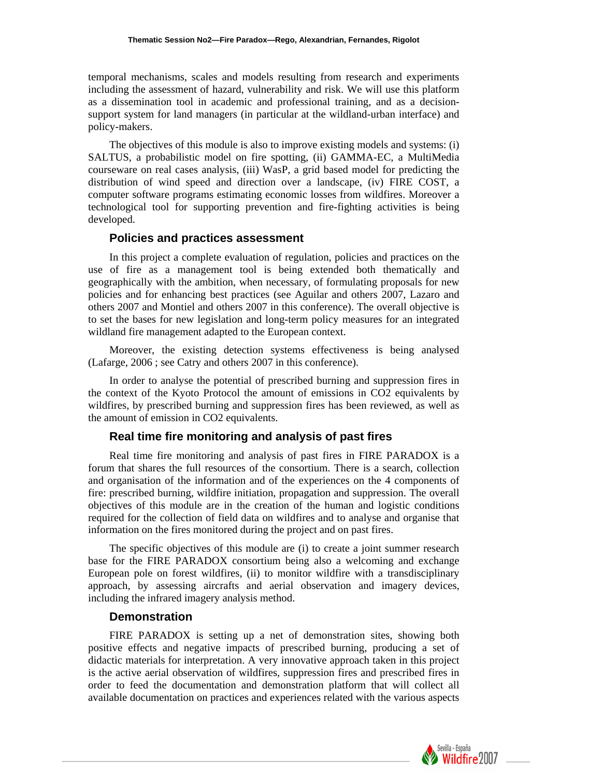temporal mechanisms, scales and models resulting from research and experiments including the assessment of hazard, vulnerability and risk. We will use this platform as a dissemination tool in academic and professional training, and as a decisionsupport system for land managers (in particular at the wildland-urban interface) and policy-makers.

The objectives of this module is also to improve existing models and systems: (i) SALTUS, a probabilistic model on fire spotting, (ii) GAMMA-EC, a MultiMedia courseware on real cases analysis, (iii) WasP, a grid based model for predicting the distribution of wind speed and direction over a landscape, (iv) FIRE COST, a computer software programs estimating economic losses from wildfires. Moreover a technological tool for supporting prevention and fire-fighting activities is being developed.

#### **Policies and practices assessment**

In this project a complete evaluation of regulation, policies and practices on the use of fire as a management tool is being extended both thematically and geographically with the ambition, when necessary, of formulating proposals for new policies and for enhancing best practices (see Aguilar and others 2007, Lazaro and others 2007 and Montiel and others 2007 in this conference). The overall objective is to set the bases for new legislation and long-term policy measures for an integrated wildland fire management adapted to the European context.

Moreover, the existing detection systems effectiveness is being analysed (Lafarge, 2006 ; see Catry and others 2007 in this conference).

In order to analyse the potential of prescribed burning and suppression fires in the context of the Kyoto Protocol the amount of emissions in CO2 equivalents by wildfires, by prescribed burning and suppression fires has been reviewed, as well as the amount of emission in CO2 equivalents.

### **Real time fire monitoring and analysis of past fires**

Real time fire monitoring and analysis of past fires in FIRE PARADOX is a forum that shares the full resources of the consortium. There is a search, collection and organisation of the information and of the experiences on the 4 components of fire: prescribed burning, wildfire initiation, propagation and suppression. The overall objectives of this module are in the creation of the human and logistic conditions required for the collection of field data on wildfires and to analyse and organise that information on the fires monitored during the project and on past fires.

The specific objectives of this module are (i) to create a joint summer research base for the FIRE PARADOX consortium being also a welcoming and exchange European pole on forest wildfires, (ii) to monitor wildfire with a transdisciplinary approach, by assessing aircrafts and aerial observation and imagery devices, including the infrared imagery analysis method.

#### **Demonstration**

FIRE PARADOX is setting up a net of demonstration sites, showing both positive effects and negative impacts of prescribed burning, producing a set of didactic materials for interpretation. A very innovative approach taken in this project is the active aerial observation of wildfires, suppression fires and prescribed fires in order to feed the documentation and demonstration platform that will collect all available documentation on practices and experiences related with the various aspects

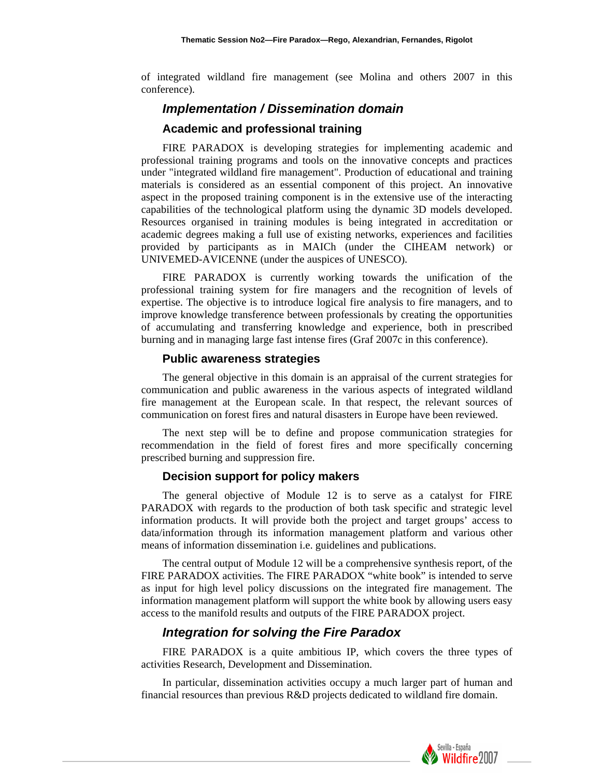of integrated wildland fire management (see Molina and others 2007 in this conference).

### *Implementation / Dissemination domain*

#### **Academic and professional training**

FIRE PARADOX is developing strategies for implementing academic and professional training programs and tools on the innovative concepts and practices under "integrated wildland fire management". Production of educational and training materials is considered as an essential component of this project. An innovative aspect in the proposed training component is in the extensive use of the interacting capabilities of the technological platform using the dynamic 3D models developed. Resources organised in training modules is being integrated in accreditation or academic degrees making a full use of existing networks, experiences and facilities provided by participants as in MAICh (under the CIHEAM network) or UNIVEMED-AVICENNE (under the auspices of UNESCO).

FIRE PARADOX is currently working towards the unification of the professional training system for fire managers and the recognition of levels of expertise. The objective is to introduce logical fire analysis to fire managers, and to improve knowledge transference between professionals by creating the opportunities of accumulating and transferring knowledge and experience, both in prescribed burning and in managing large fast intense fires (Graf 2007c in this conference).

#### **Public awareness strategies**

The general objective in this domain is an appraisal of the current strategies for communication and public awareness in the various aspects of integrated wildland fire management at the European scale. In that respect, the relevant sources of communication on forest fires and natural disasters in Europe have been reviewed.

The next step will be to define and propose communication strategies for recommendation in the field of forest fires and more specifically concerning prescribed burning and suppression fire.

#### **Decision support for policy makers**

The general objective of Module 12 is to serve as a catalyst for FIRE PARADOX with regards to the production of both task specific and strategic level information products. It will provide both the project and target groups' access to data/information through its information management platform and various other means of information dissemination i.e. guidelines and publications.

The central output of Module 12 will be a comprehensive synthesis report, of the FIRE PARADOX activities. The FIRE PARADOX "white book" is intended to serve as input for high level policy discussions on the integrated fire management. The information management platform will support the white book by allowing users easy access to the manifold results and outputs of the FIRE PARADOX project.

### *Integration for solving the Fire Paradox*

FIRE PARADOX is a quite ambitious IP, which covers the three types of activities Research, Development and Dissemination.

In particular, dissemination activities occupy a much larger part of human and financial resources than previous R&D projects dedicated to wildland fire domain.

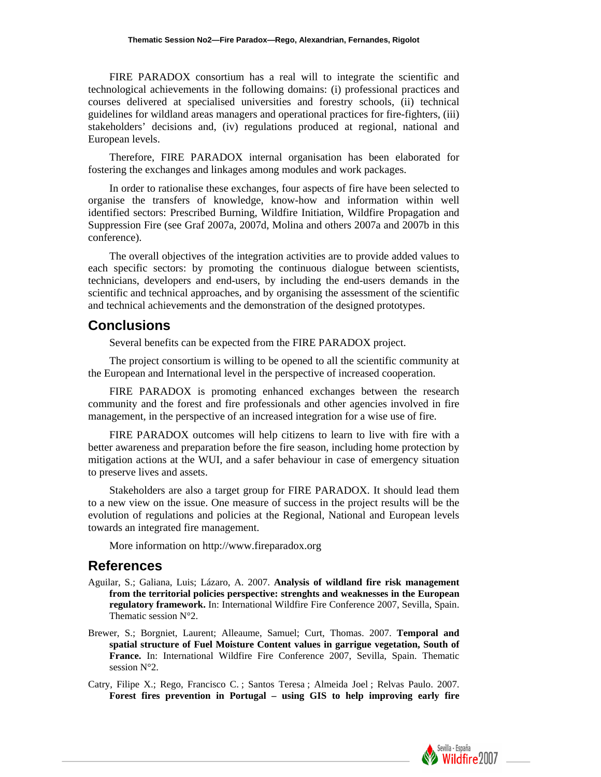FIRE PARADOX consortium has a real will to integrate the scientific and technological achievements in the following domains: (i) professional practices and courses delivered at specialised universities and forestry schools, (ii) technical guidelines for wildland areas managers and operational practices for fire-fighters, (iii) stakeholders' decisions and, (iv) regulations produced at regional, national and European levels.

Therefore, FIRE PARADOX internal organisation has been elaborated for fostering the exchanges and linkages among modules and work packages.

In order to rationalise these exchanges, four aspects of fire have been selected to organise the transfers of knowledge, know-how and information within well identified sectors: Prescribed Burning, Wildfire Initiation, Wildfire Propagation and Suppression Fire (see Graf 2007a, 2007d, Molina and others 2007a and 2007b in this conference).

The overall objectives of the integration activities are to provide added values to each specific sectors: by promoting the continuous dialogue between scientists, technicians, developers and end-users, by including the end-users demands in the scientific and technical approaches, and by organising the assessment of the scientific and technical achievements and the demonstration of the designed prototypes.

# **Conclusions**

Several benefits can be expected from the FIRE PARADOX project.

The project consortium is willing to be opened to all the scientific community at the European and International level in the perspective of increased cooperation.

FIRE PARADOX is promoting enhanced exchanges between the research community and the forest and fire professionals and other agencies involved in fire management, in the perspective of an increased integration for a wise use of fire.

FIRE PARADOX outcomes will help citizens to learn to live with fire with a better awareness and preparation before the fire season, including home protection by mitigation actions at the WUI, and a safer behaviour in case of emergency situation to preserve lives and assets.

Stakeholders are also a target group for FIRE PARADOX. It should lead them to a new view on the issue. One measure of success in the project results will be the evolution of regulations and policies at the Regional, National and European levels towards an integrated fire management.

More information on http://www.fireparadox.org

## **References**

- Aguilar, S.; Galiana, Luis; Lázaro, A. 2007. **Analysis of wildland fire risk management from the territorial policies perspective: strenghts and weaknesses in the European regulatory framework.** In: International Wildfire Fire Conference 2007, Sevilla, Spain. Thematic session N°2.
- Brewer, S.; Borgniet, Laurent; Alleaume, Samuel; Curt, Thomas. 2007. **Temporal and spatial structure of Fuel Moisture Content values in garrigue vegetation, South of France.** In: International Wildfire Fire Conference 2007, Sevilla, Spain. Thematic session N°2.
- Catry, Filipe X.; Rego, Francisco C. ; Santos Teresa ; Almeida Joel ; Relvas Paulo. 2007. **Forest fires prevention in Portugal – using GIS to help improving early fire**

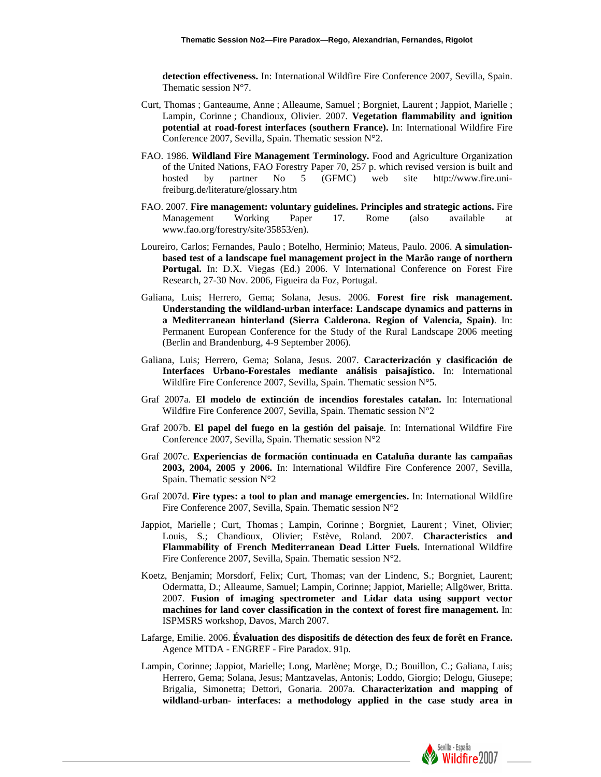**detection effectiveness.** In: International Wildfire Fire Conference 2007, Sevilla, Spain. Thematic session N°7.

- Curt, Thomas ; Ganteaume, Anne ; Alleaume, Samuel ; Borgniet, Laurent ; Jappiot, Marielle ; Lampin, Corinne ; Chandioux, Olivier. 2007. **Vegetation flammability and ignition potential at road-forest interfaces (southern France).** In: International Wildfire Fire Conference 2007, Sevilla, Spain. Thematic session N°2.
- FAO. 1986. **Wildland Fire Management Terminology.** Food and Agriculture Organization of the United Nations, FAO Forestry Paper 70, 257 p. which revised version is built and hosted by partner No 5 (GFMC) web site http://www.fire.unifreiburg.de/literature/glossary.htm
- FAO. 2007. **Fire management: voluntary guidelines. Principles and strategic actions.** Fire Management Working Paper 17. Rome (also available at www.fao.org/forestry/site/35853/en).
- Loureiro, Carlos; Fernandes, Paulo ; Botelho, Herminio; Mateus, Paulo. 2006. **A simulationbased test of a landscape fuel management project in the Marão range of northern Portugal.** In: D.X. Viegas (Ed.) 2006. V International Conference on Forest Fire Research, 27-30 Nov. 2006, Figueira da Foz, Portugal.
- Galiana, Luis; Herrero, Gema; Solana, Jesus. 2006. **Forest fire risk management. Understanding the wildland-urban interface: Landscape dynamics and patterns in a Mediterranean hinterland (Sierra Calderona. Region of Valencia, Spain)**. In: Permanent European Conference for the Study of the Rural Landscape 2006 meeting (Berlin and Brandenburg, 4-9 September 2006).
- Galiana, Luis; Herrero, Gema; Solana, Jesus. 2007. **Caracterización y clasificación de Interfaces Urbano-Forestales mediante análisis paisajístico.** In: International Wildfire Fire Conference 2007, Sevilla, Spain. Thematic session N°5.
- Graf 2007a. **El modelo de extinción de incendios forestales catalan.** In: International Wildfire Fire Conference 2007, Sevilla, Spain. Thematic session N°2
- Graf 2007b. **El papel del fuego en la gestión del paisaje**. In: International Wildfire Fire Conference 2007, Sevilla, Spain. Thematic session N°2
- Graf 2007c. **Experiencias de formación continuada en Cataluña durante las campañas 2003, 2004, 2005 y 2006.** In: International Wildfire Fire Conference 2007, Sevilla, Spain. Thematic session N°2
- Graf 2007d. **Fire types: a tool to plan and manage emergencies.** In: International Wildfire Fire Conference 2007, Sevilla, Spain. Thematic session N°2
- Jappiot, Marielle ; Curt, Thomas ; Lampin, Corinne ; Borgniet, Laurent ; Vinet, Olivier; Louis, S.; Chandioux, Olivier; Estève, Roland. 2007. **Characteristics and Flammability of French Mediterranean Dead Litter Fuels.** International Wildfire Fire Conference 2007, Sevilla, Spain. Thematic session N°2.
- Koetz, Benjamin; Morsdorf, Felix; Curt, Thomas; van der Lindenc, S.; Borgniet, Laurent; Odermatta, D.; Alleaume, Samuel; Lampin, Corinne; Jappiot, Marielle; Allgöwer, Britta. 2007. **Fusion of imaging spectrometer and Lidar data using support vector machines for land cover classification in the context of forest fire management.** In: ISPMSRS workshop, Davos, March 2007.
- Lafarge, Emilie. 2006. **Évaluation des dispositifs de détection des feux de forêt en France.** Agence MTDA - ENGREF - Fire Paradox. 91p.
- Lampin, Corinne; Jappiot, Marielle; Long, Marlène; Morge, D.; Bouillon, C.; Galiana, Luis; Herrero, Gema; Solana, Jesus; Mantzavelas, Antonis; Loddo, Giorgio; Delogu, Giusepe; Brigalia, Simonetta; Dettori, Gonaria. 2007a. **Characterization and mapping of wildland-urban- interfaces: a methodology applied in the case study area in**